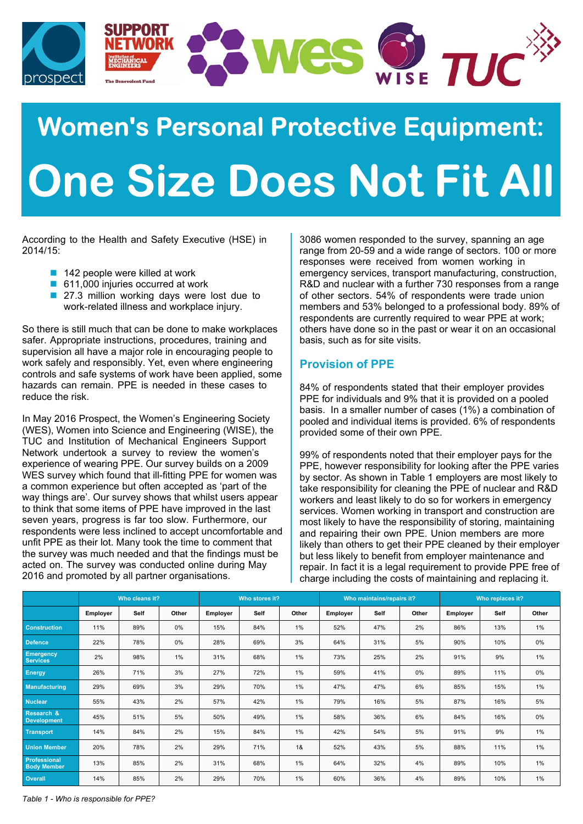

# **Women's Personal Protective Equipment: One Size Does Not Fit All**

According to the Health and Safety Executive (HSE) in 2014/15:

- $\blacksquare$  142 people were killed at work
- 611,000 injuries occurred at work
- 27.3 million working days were lost due to work-related illness and workplace injury.

So there is still much that can be done to make workplaces safer. Appropriate instructions, procedures, training and supervision all have a major role in encouraging people to work safely and responsibly. Yet, even where engineering controls and safe systems of work have been applied, some hazards can remain. PPE is needed in these cases to reduce the risk.

In May 2016 Prospect, the Women's Engineering Society (WES), Women into Science and Engineering (WISE), the TUC and Institution of Mechanical Engineers Support Network undertook a survey to review the women's experience of wearing PPE. Our survey builds on a 2009 WES survey which found that ill-fitting PPE for women was a common experience but often accepted as 'part of the way things are'. Our survey shows that whilst users appear to think that some items of PPE have improved in the last seven years, progress is far too slow. Furthermore, our respondents were less inclined to accept uncomfortable and unfit PPE as their lot. Many took the time to comment that the survey was much needed and that the findings must be acted on. The survey was conducted online during May 2016 and promoted by all partner organisations.

3086 women responded to the survey, spanning an age range from 20-59 and a wide range of sectors. 100 or more responses were received from women working in emergency services, transport manufacturing, construction, R&D and nuclear with a further 730 responses from a range of other sectors. 54% of respondents were trade union members and 53% belonged to a professional body. 89% of respondents are currently required to wear PPE at work; others have done so in the past or wear it on an occasional basis, such as for site visits.

# **Provision of PPE**

84% of respondents stated that their employer provides PPE for individuals and 9% that it is provided on a pooled basis. In a smaller number of cases (1%) a combination of pooled and individual items is provided. 6% of respondents provided some of their own PPE.

99% of respondents noted that their employer pays for the PPE, however responsibility for looking after the PPE varies by sector. As shown in Table 1 employers are most likely to take responsibility for cleaning the PPE of nuclear and R&D workers and least likely to do so for workers in emergency services. Women working in transport and construction are most likely to have the responsibility of storing, maintaining and repairing their own PPE. Union members are more likely than others to get their PPE cleaned by their employer but less likely to benefit from employer maintenance and repair. In fact it is a legal requirement to provide PPE free of charge including the costs of maintaining and replacing it.

|                                             | Who cleans it? |      |       | Who stores it? |      |       | Who maintains/repairs it? |      |       | Who replaces it? |      |       |
|---------------------------------------------|----------------|------|-------|----------------|------|-------|---------------------------|------|-------|------------------|------|-------|
|                                             | Employer       | Self | Other | Employer       | Self | Other | Employer                  | Self | Other | Employer         | Self | Other |
| <b>Construction</b>                         | 11%            | 89%  | 0%    | 15%            | 84%  | 1%    | 52%                       | 47%  | 2%    | 86%              | 13%  | $1\%$ |
| <b>Defence</b>                              | 22%            | 78%  | 0%    | 28%            | 69%  | 3%    | 64%                       | 31%  | 5%    | 90%              | 10%  | 0%    |
| <b>Emergency</b><br><b>Services</b>         | 2%             | 98%  | $1\%$ | 31%            | 68%  | 1%    | 73%                       | 25%  | 2%    | 91%              | 9%   | 1%    |
| <b>Energy</b>                               | 26%            | 71%  | 3%    | 27%            | 72%  | 1%    | 59%                       | 41%  | 0%    | 89%              | 11%  | 0%    |
| <b>Manufacturing</b>                        | 29%            | 69%  | 3%    | 29%            | 70%  | 1%    | 47%                       | 47%  | 6%    | 85%              | 15%  | 1%    |
| <b>Nuclear</b>                              | 55%            | 43%  | 2%    | 57%            | 42%  | 1%    | 79%                       | 16%  | 5%    | 87%              | 16%  | 5%    |
| <b>Research &amp;</b><br><b>Development</b> | 45%            | 51%  | 5%    | 50%            | 49%  | 1%    | 58%                       | 36%  | 6%    | 84%              | 16%  | 0%    |
| <b>Transport</b>                            | 14%            | 84%  | 2%    | 15%            | 84%  | 1%    | 42%                       | 54%  | 5%    | 91%              | 9%   | 1%    |
| <b>Union Member</b>                         | 20%            | 78%  | 2%    | 29%            | 71%  | 1&    | 52%                       | 43%  | 5%    | 88%              | 11%  | $1\%$ |
| <b>Professional</b><br><b>Body Member</b>   | 13%            | 85%  | 2%    | 31%            | 68%  | 1%    | 64%                       | 32%  | 4%    | 89%              | 10%  | $1\%$ |
| <b>Overall</b>                              | 14%            | 85%  | 2%    | 29%            | 70%  | 1%    | 60%                       | 36%  | 4%    | 89%              | 10%  | 1%    |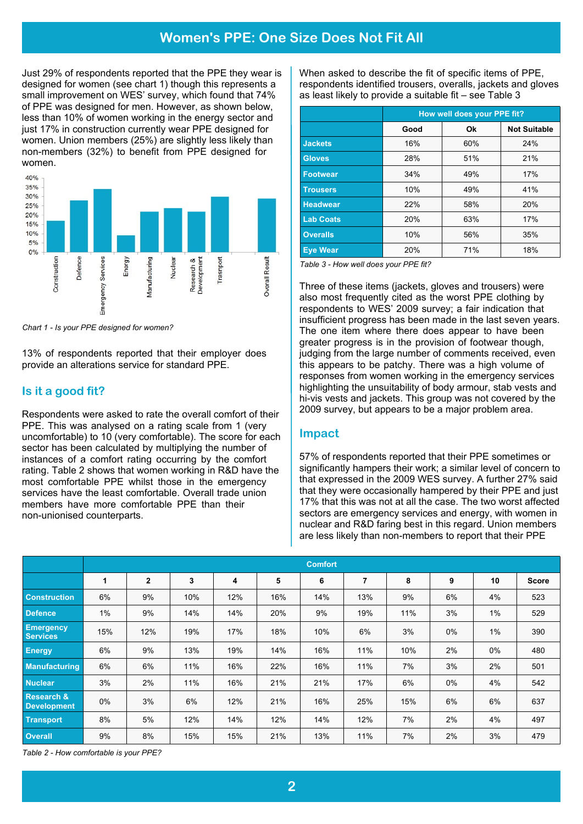# **Women's PPE: One Size Does Not Fit All**

Just 29% of respondents reported that the PPE they wear is designed for women (see chart 1) though this represents a small improvement on WES' survey, which found that 74% of PPE was designed for men. However, as shown below, less than 10% of women working in the energy sector and just 17% in construction currently wear PPE designed for women. Union members (25%) are slightly less likely than non-members (32%) to benefit from PPE designed for women.



*Chart 1 - Is your PPE designed for women?*

13% of respondents reported that their employer does provide an alterations service for standard PPE.

## **Is it a good fit?**

Respondents were asked to rate the overall comfort of their PPE. This was analysed on a rating scale from 1 (very uncomfortable) to 10 (very comfortable). The score for each sector has been calculated by multiplying the number of instances of a comfort rating occurring by the comfort rating. Table 2 shows that women working in R&D have the most comfortable PPE whilst those in the emergency services have the least comfortable. Overall trade union members have more comfortable PPE than their non-unionised counterparts.

When asked to describe the fit of specific items of PPE, respondents identified trousers, overalls, jackets and gloves as least likely to provide a suitable fit – see Table 3

|                  | How well does your PPE fit? |     |                     |  |  |  |  |
|------------------|-----------------------------|-----|---------------------|--|--|--|--|
|                  | Good                        | Ok  | <b>Not Suitable</b> |  |  |  |  |
| <b>Jackets</b>   | 16%                         | 60% | 24%                 |  |  |  |  |
| <b>Gloves</b>    | 28%                         | 51% | 21%                 |  |  |  |  |
| <b>Footwear</b>  | 34%                         | 49% | 17%                 |  |  |  |  |
| <b>Trousers</b>  | 10%                         | 49% | 41%                 |  |  |  |  |
| <b>Headwear</b>  | 22%                         | 58% | 20%                 |  |  |  |  |
| <b>Lab Coats</b> | 20%                         | 63% | 17%                 |  |  |  |  |
| <b>Overalls</b>  | 10%                         | 56% | 35%                 |  |  |  |  |
| <b>Eve Wear</b>  | 20%                         | 71% | 18%                 |  |  |  |  |

*Table 3 - How well does your PPE fit?*

Three of these items (jackets, gloves and trousers) were also most frequently cited as the worst PPE clothing by respondents to WES' 2009 survey; a fair indication that insufficient progress has been made in the last seven years. The one item where there does appear to have been greater progress is in the provision of footwear though, judging from the large number of comments received, even this appears to be patchy. There was a high volume of responses from women working in the emergency services highlighting the unsuitability of body armour, stab vests and hi-vis vests and jackets. This group was not covered by the 2009 survey, but appears to be a major problem area.

#### **Impact**

57% of respondents reported that their PPE sometimes or significantly hampers their work; a similar level of concern to that expressed in the 2009 WES survey. A further 27% said that they were occasionally hampered by their PPE and just 17% that this was not at all the case. The two worst affected sectors are emergency services and energy, with women in nuclear and R&D faring best in this regard. Union members are less likely than non-members to report that their PPE

|                                             | <b>Comfort</b> |                |     |     |     |     |     |     |    |       |              |
|---------------------------------------------|----------------|----------------|-----|-----|-----|-----|-----|-----|----|-------|--------------|
|                                             | 1              | $\overline{2}$ | 3   | 4   | 5   | 6   | 7   | 8   | 9  | 10    | <b>Score</b> |
| <b>Construction</b>                         | 6%             | 9%             | 10% | 12% | 16% | 14% | 13% | 9%  | 6% | 4%    | 523          |
| <b>Defence</b>                              | $1\%$          | 9%             | 14% | 14% | 20% | 9%  | 19% | 11% | 3% | $1\%$ | 529          |
| <b>Emergency</b><br><b>Services</b>         | 15%            | 12%            | 19% | 17% | 18% | 10% | 6%  | 3%  | 0% | $1\%$ | 390          |
| <b>Energy</b>                               | 6%             | 9%             | 13% | 19% | 14% | 16% | 11% | 10% | 2% | $0\%$ | 480          |
| <b>Manufacturing</b>                        | 6%             | 6%             | 11% | 16% | 22% | 16% | 11% | 7%  | 3% | 2%    | 501          |
| <b>Nuclear</b>                              | 3%             | 2%             | 11% | 16% | 21% | 21% | 17% | 6%  | 0% | 4%    | 542          |
| <b>Research &amp;</b><br><b>Development</b> | $0\%$          | 3%             | 6%  | 12% | 21% | 16% | 25% | 15% | 6% | 6%    | 637          |
| <b>Transport</b>                            | 8%             | 5%             | 12% | 14% | 12% | 14% | 12% | 7%  | 2% | 4%    | 497          |
| <b>Overall</b>                              | 9%             | 8%             | 15% | 15% | 21% | 13% | 11% | 7%  | 2% | 3%    | 479          |

*Table 2 - How comfortable is your PPE?*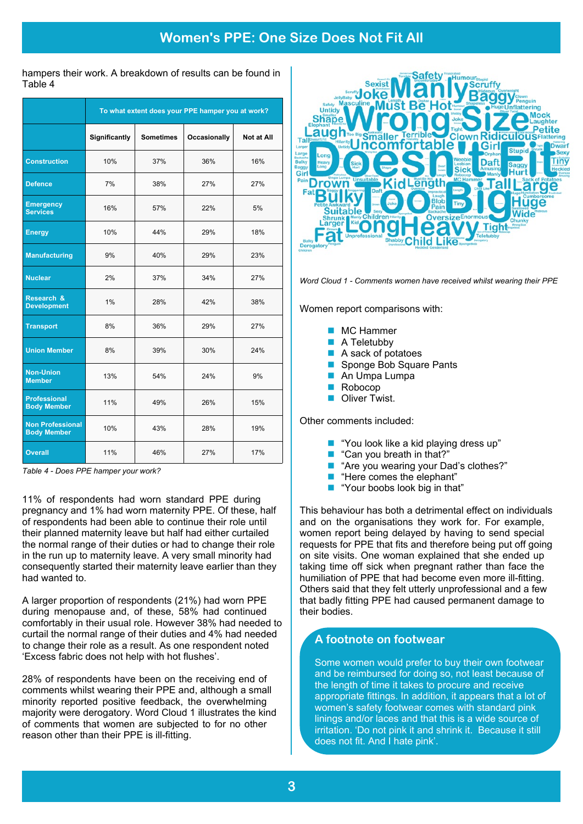hampers their work. A breakdown of results can be found in Table 4

|                                               | To what extent does your PPE hamper you at work? |                  |                     |            |  |  |  |  |
|-----------------------------------------------|--------------------------------------------------|------------------|---------------------|------------|--|--|--|--|
|                                               | Significantly                                    | <b>Sometimes</b> | <b>Occasionally</b> | Not at All |  |  |  |  |
| <b>Construction</b>                           | 10%                                              | 37%              | 36%                 | 16%        |  |  |  |  |
| <b>Defence</b>                                | 7%                                               | 38%              | 27%                 | 27%        |  |  |  |  |
| <b>Emergency</b><br><b>Services</b>           | 16%                                              | 57%              | 22%                 | 5%         |  |  |  |  |
| <b>Energy</b>                                 | 10%                                              | 44%              | 29%                 | 18%        |  |  |  |  |
| <b>Manufacturing</b>                          | 9%                                               | 40%              | 29%                 | 23%        |  |  |  |  |
| <b>Nuclear</b>                                | 2%                                               | 37%              | 34%                 | 27%        |  |  |  |  |
| Research &<br><b>Development</b>              | 1%                                               | 28%              | 42%                 | 38%        |  |  |  |  |
| <b>Transport</b>                              | 8%                                               | 36%              | 29%                 | 27%        |  |  |  |  |
| <b>Union Member</b>                           | 8%                                               | 39%              | 30%                 | 24%        |  |  |  |  |
| <b>Non-Union</b><br><b>Member</b>             | 13%                                              | 54%              | 24%                 | 9%         |  |  |  |  |
| <b>Professional</b><br><b>Body Member</b>     | 11%                                              | 49%              | 26%                 | 15%        |  |  |  |  |
| <b>Non Professional</b><br><b>Body Member</b> | 10%                                              | 43%              | 28%                 | 19%        |  |  |  |  |
| <b>Overall</b>                                | 11%                                              | 46%              | 27%                 | 17%        |  |  |  |  |

*Table 4 - Does PPE hamper your work?*

11% of respondents had worn standard PPE during pregnancy and 1% had worn maternity PPE. Of these, half of respondents had been able to continue their role until their planned maternity leave but half had either curtailed the normal range of their duties or had to change their role in the run up to maternity leave. A very small minority had consequently started their maternity leave earlier than they had wanted to.

A larger proportion of respondents (21%) had worn PPE during menopause and, of these, 58% had continued comfortably in their usual role. However 38% had needed to curtail the normal range of their duties and 4% had needed to change their role as a result. As one respondent noted 'Excess fabric does not help with hot flushes'.

28% of respondents have been on the receiving end of comments whilst wearing their PPE and, although a small minority reported positive feedback, the overwhelming majority were derogatory. Word Cloud 1 illustrates the kind of comments that women are subjected to for no other reason other than their PPE is ill-fitting.



*Word Cloud 1 - Comments women have received whilst wearing their PPE*

Women report comparisons with:

| <b>College</b>              | MC Hammer                  |
|-----------------------------|----------------------------|
|                             | $\blacksquare$ A Teletubby |
| $\mathcal{L}^{\mathcal{A}}$ | A sack of potatoes         |
|                             | Sponge Bob Square Pants    |
| $\mathcal{L}^{\mathcal{A}}$ | An Umpa Lumpa              |
|                             | $\blacksquare$ Robocop     |

**n** Oliver Twist.

Other comments included:

- "You look like a kid playing dress up"
- "Can you breath in that?"
- "Are you wearing your Dad's clothes?"
- "Here comes the elephant"
- **n** "Your boobs look big in that"

This behaviour has both a detrimental effect on individuals and on the organisations they work for. For example, women report being delayed by having to send special requests for PPE that fits and therefore being put off going on site visits. One woman explained that she ended up taking time off sick when pregnant rather than face the humiliation of PPE that had become even more ill-fitting. Others said that they felt utterly unprofessional and a few that badly fitting PPE had caused permanent damage to their bodies.

# **A footnote on footwear**

Some women would prefer to buy their own footwear and be reimbursed for doing so, not least because of the length of time it takes to procure and receive appropriate fittings. In addition, it appears that a lot of women's safety footwear comes with standard pink linings and/or laces and that this is a wide source of irritation. 'Do not pink it and shrink it. Because it still does not fit. And I hate pink'.